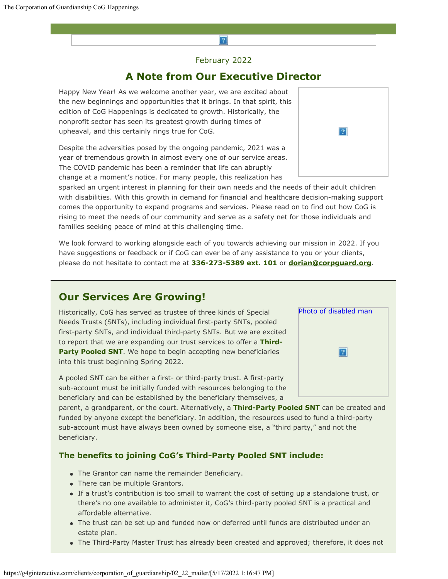# $\overline{?}$

February 2022

## **A Note from Our Executive Director**

Happy New Year! As we welcome another year, we are excited about the new beginnings and opportunities that it brings. In that spirit, this edition of CoG Happenings is dedicated to growth. Historically, the nonprofit sector has seen its greatest growth during times of upheaval, and this certainly rings true for CoG.

Despite the adversities posed by the ongoing pandemic, 2021 was a year of tremendous growth in almost every one of our service areas. The COVID pandemic has been a reminder that life can abruptly change at a moment's notice. For many people, this realization has

sparked an urgent interest in planning for their own needs and the needs of their adult children with disabilities. With this growth in demand for financial and healthcare decision-making support comes the opportunity to expand programs and services. Please read on to find out how CoG is rising to meet the needs of our community and serve as a safety net for those individuals and families seeking peace of mind at this challenging time.

We look forward to working alongside each of you towards achieving our mission in 2022. If you have suggestions or feedback or if CoG can ever be of any assistance to you or your clients, please do not hesitate to contact me at **336-273-5389 ext. 101** or **[dorian@corpguard.org](mailto:dorian@corpguard.org)**.

# **Our Services Are Growing!**

Historically, CoG has served as trustee of three kinds of Special Needs Trusts (SNTs), including individual first-party SNTs, pooled first-party SNTs, and individual third-party SNTs. But we are excited to report that we are expanding our trust services to offer a **Third-Party Pooled SNT.** We hope to begin accepting new beneficiaries into this trust beginning Spring 2022.

A pooled SNT can be either a first- or third-party trust. A first-party sub-account must be initially funded with resources belonging to the beneficiary and can be established by the beneficiary themselves, a

parent, a grandparent, or the court. Alternatively, a **Third-Party Pooled SNT** can be created and funded by anyone except the beneficiary. In addition, the resources used to fund a third-party sub-account must have always been owned by someone else, a "third party," and not the beneficiary.

### **The benefits to joining CoG's Third-Party Pooled SNT include:**

- The Grantor can name the remainder Beneficiary.
- There can be multiple Grantors.
- If a trust's contribution is too small to warrant the cost of setting up a standalone trust, or there's no one available to administer it, CoG's third-party pooled SNT is a practical and affordable alternative.
- The trust can be set up and funded now or deferred until funds are distributed under an estate plan.
- The Third-Party Master Trust has already been created and approved; therefore, it does not



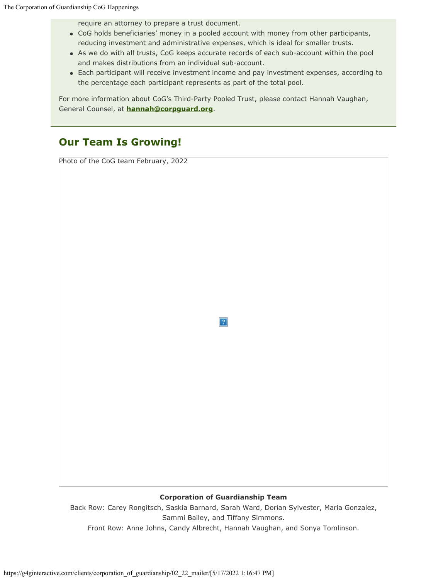require an attorney to prepare a trust document.

- CoG holds beneficiaries' money in a pooled account with money from other participants, reducing investment and administrative expenses, which is ideal for smaller trusts.
- As we do with all trusts, CoG keeps accurate records of each sub-account within the pool and makes distributions from an individual sub-account.
- Each participant will receive investment income and pay investment expenses, according to the percentage each participant represents as part of the total pool.

For more information about CoG's Third-Party Pooled Trust, please contact Hannah Vaughan, General Counsel, at **[hannah@corpguard.org](mailto:hannah@corpguard.org)**.

# **Our Team Is Growing!**

Photo of the CoG team February, 2022

 $\vert 2 \vert$ 

### **Corporation of Guardianship Team**

Back Row: Carey Rongitsch, Saskia Barnard, Sarah Ward, Dorian Sylvester, Maria Gonzalez, Sammi Bailey, and Tiffany Simmons. Front Row: Anne Johns, Candy Albrecht, Hannah Vaughan, and Sonya Tomlinson.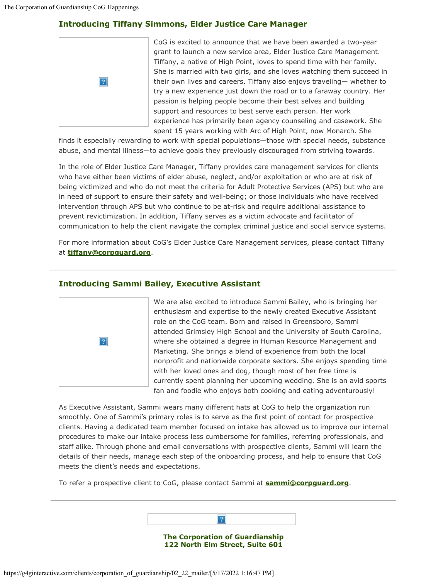### **Introducing Tiffany Simmons, Elder Justice Care Manager**



[C](https://corpguard.org/)oG is excited to announce that we have been awarded a two-year grant to launch a new service area, Elder Justice Care Management. Tiffany, a native of High Point, loves to spend time with her family. She is married with two girls, and she loves watching them succeed in their own lives and careers. Tiffany also enjoys traveling— whether to try a new experience just down the road or to a faraway country. Her passion is helping people become their best selves and building support and resources to best serve each person. Her work experience has primarily been agency counseling and casework. She spent 15 years working with Arc of High Point, now Monarch. She

finds it especially rewarding to work with special populations—those with special needs, substance abuse, and mental illness—to achieve goals they previously discouraged from striving towards.

In the role of Elder Justice Care Manager, Tiffany provides care management services for clients who have either been victims of elder abuse, neglect, and/or exploitation or who are at risk of being victimized and who do not meet the criteria for Adult Protective Services (APS) but who are in need of support to ensure their safety and well-being; or those individuals who have received intervention through APS but who continue to be at-risk and require additional assistance to prevent revictimization. In addition, Tiffany serves as a victim advocate and facilitator of communication to help the client navigate the complex criminal justice and social service systems.

For more information about CoG's Elder Justice Care Management services, please contact Tiffany at **[tiffany@corpguard.org](mailto:tiffany@corpguard.org)**.

### **Introducing Sammi Bailey, Executive Assistant**



[W](https://corpguard.org/)e are also excited to introduce Sammi Bailey, who is bringing her enthusiasm and expertise to the newly created Executive Assistant role on the CoG team. Born and raised in Greensboro, Sammi attended Grimsley High School and the University of South Carolina, where she obtained a degree in Human Resource Management and Marketing. She brings a blend of experience from both the local nonprofit and nationwide corporate sectors. She enjoys spending time with her loved ones and dog, though most of her free time is currently spent planning her upcoming wedding. She is an avid sports fan and foodie who enjoys both cooking and eating adventurously!

As Executive Assistant, Sammi wears many different hats at CoG to help the organization run smoothly. One of Sammi's primary roles is to serve as the first point of contact for prospective clients. Having a dedicated team member focused on intake has allowed us to improve our internal procedures to make our intake process less cumbersome for families, referring professionals, and staff alike. Through phone and email conversations with prospective clients, Sammi will learn the details of their needs, manage each step of the onboarding process, and help to ensure that CoG meets the client's needs and expectations.

To refer a prospective client to CoG, please contact Sammi at **[sammi@corpguard.org](mailto:sammi@corpguard.org)**.